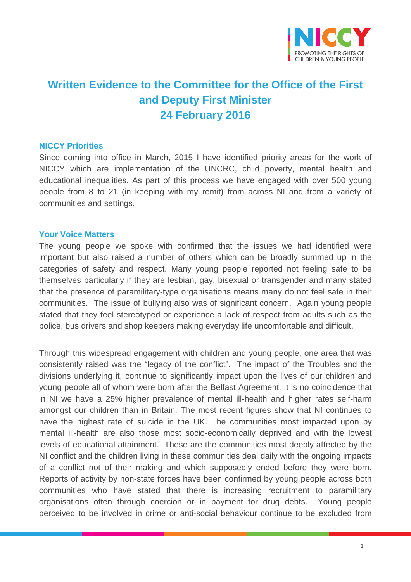

# **Written Evidence to the Committee for the Office of the First and Deputy First Minister 24 February 2016**

#### **NICCY Priorities**

Since coming into office in March, 2015 I have identified priority areas for the work of NICCY which are implementation of the UNCRC, child poverty, mental health and educational inequalities. As part of this process we have engaged with over 500 young people from 8 to 21 (in keeping with my remit) from across NI and from a variety of communities and settings.

### **Your Voice Matters**

The young people we spoke with confirmed that the issues we had identified were important but also raised a number of others which can be broadly summed up in the categories of safety and respect. Many young people reported not feeling safe to be themselves particularly if they are lesbian, gay, bisexual or transgender and many stated that the presence of paramilitary-type organisations means many do not feel safe in their communities. The issue of bullying also was of significant concern. Again young people stated that they feel stereotyped or experience a lack of respect from adults such as the police, bus drivers and shop keepers making everyday life uncomfortable and difficult.

Through this widespread engagement with children and young people, one area that was consistently raised was the "legacy of the conflict". The impact of the Troubles and the divisions underlying it, continue to significantly impact upon the lives of our children and young people all of whom were born after the Belfast Agreement. It is no coincidence that in NI we have a 25% higher prevalence of mental ill-health and higher rates self-harm amongst our children than in Britain. The most recent figures show that NI continues to have the highest rate of suicide in the UK. The communities most impacted upon by mental ill-health are also those most socio-economically deprived and with the lowest levels of educational attainment. These are the communities most deeply affected by the NI conflict and the children living in these communities deal daily with the ongoing impacts of a conflict not of their making and which supposedly ended before they were born. Reports of activity by non-state forces have been confirmed by young people across both communities who have stated that there is increasing recruitment to paramilitary organisations often through coercion or in payment for drug debts. Young people perceived to be involved in crime or anti-social behaviour continue to be excluded from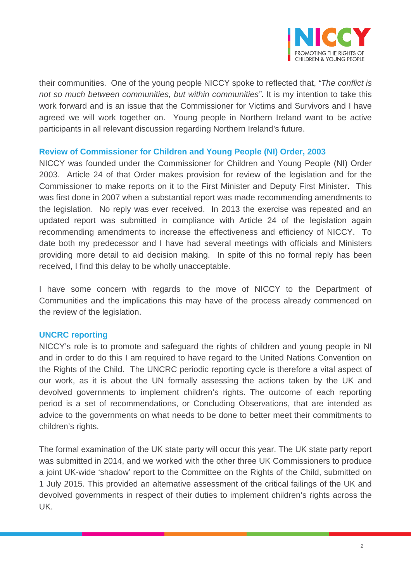

their communities. One of the young people NICCY spoke to reflected that, *"The conflict is not so much between communities, but within communities"*. It is my intention to take this work forward and is an issue that the Commissioner for Victims and Survivors and I have agreed we will work together on. Young people in Northern Ireland want to be active participants in all relevant discussion regarding Northern Ireland's future.

## **Review of Commissioner for Children and Young People (NI) Order, 2003**

NICCY was founded under the Commissioner for Children and Young People (NI) Order 2003. Article 24 of that Order makes provision for review of the legislation and for the Commissioner to make reports on it to the First Minister and Deputy First Minister. This was first done in 2007 when a substantial report was made recommending amendments to the legislation. No reply was ever received. In 2013 the exercise was repeated and an updated report was submitted in compliance with Article 24 of the legislation again recommending amendments to increase the effectiveness and efficiency of NICCY. To date both my predecessor and I have had several meetings with officials and Ministers providing more detail to aid decision making. In spite of this no formal reply has been received, I find this delay to be wholly unacceptable.

I have some concern with regards to the move of NICCY to the Department of Communities and the implications this may have of the process already commenced on the review of the legislation.

### **UNCRC reporting**

NICCY's role is to promote and safeguard the rights of children and young people in NI and in order to do this I am required to have regard to the United Nations Convention on the Rights of the Child. The UNCRC periodic reporting cycle is therefore a vital aspect of our work, as it is about the UN formally assessing the actions taken by the UK and devolved governments to implement children's rights. The outcome of each reporting period is a set of recommendations, or Concluding Observations, that are intended as advice to the governments on what needs to be done to better meet their commitments to children's rights.

The formal examination of the UK state party will occur this year. The UK state party report was submitted in 2014, and we worked with the other three UK Commissioners to produce a joint UK-wide 'shadow' report to the Committee on the Rights of the Child, submitted on 1 July 2015. This provided an alternative assessment of the critical failings of the UK and devolved governments in respect of their duties to implement children's rights across the UK.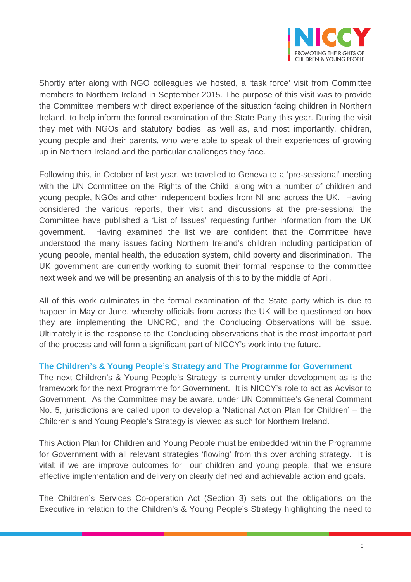

Shortly after along with NGO colleagues we hosted, a 'task force' visit from Committee members to Northern Ireland in September 2015. The purpose of this visit was to provide the Committee members with direct experience of the situation facing children in Northern Ireland, to help inform the formal examination of the State Party this year. During the visit they met with NGOs and statutory bodies, as well as, and most importantly, children, young people and their parents, who were able to speak of their experiences of growing up in Northern Ireland and the particular challenges they face.

Following this, in October of last year, we travelled to Geneva to a 'pre-sessional' meeting with the UN Committee on the Rights of the Child, along with a number of children and young people, NGOs and other independent bodies from NI and across the UK. Having considered the various reports, their visit and discussions at the pre-sessional the Committee have published a 'List of Issues' requesting further information from the UK government. Having examined the list we are confident that the Committee have understood the many issues facing Northern Ireland's children including participation of young people, mental health, the education system, child poverty and discrimination. The UK government are currently working to submit their formal response to the committee next week and we will be presenting an analysis of this to by the middle of April.

All of this work culminates in the formal examination of the State party which is due to happen in May or June, whereby officials from across the UK will be questioned on how they are implementing the UNCRC, and the Concluding Observations will be issue. Ultimately it is the response to the Concluding observations that is the most important part of the process and will form a significant part of NICCY's work into the future.

## **The Children's & Young People's Strategy and The Programme for Government**

The next Children's & Young People's Strategy is currently under development as is the framework for the next Programme for Government. It is NICCY's role to act as Advisor to Government. As the Committee may be aware, under UN Committee's General Comment No. 5, jurisdictions are called upon to develop a 'National Action Plan for Children' – the Children's and Young People's Strategy is viewed as such for Northern Ireland.

This Action Plan for Children and Young People must be embedded within the Programme for Government with all relevant strategies 'flowing' from this over arching strategy. It is vital; if we are improve outcomes for our children and young people, that we ensure effective implementation and delivery on clearly defined and achievable action and goals.

The Children's Services Co-operation Act (Section 3) sets out the obligations on the Executive in relation to the Children's & Young People's Strategy highlighting the need to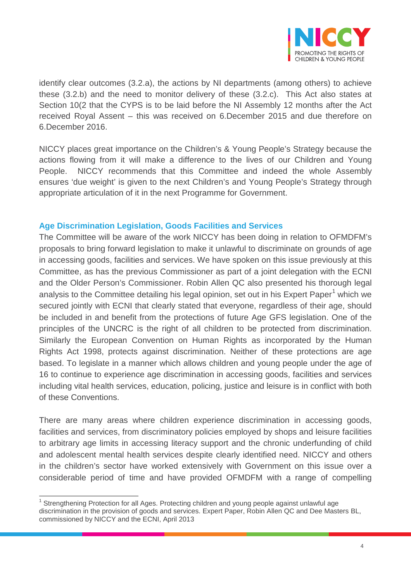

identify clear outcomes (3.2.a), the actions by NI departments (among others) to achieve these (3.2.b) and the need to monitor delivery of these (3.2.c). This Act also states at Section 10(2 that the CYPS is to be laid before the NI Assembly 12 months after the Act received Royal Assent – this was received on 6.December 2015 and due therefore on 6.December 2016.

NICCY places great importance on the Children's & Young People's Strategy because the actions flowing from it will make a difference to the lives of our Children and Young People. NICCY recommends that this Committee and indeed the whole Assembly ensures 'due weight' is given to the next Children's and Young People's Strategy through appropriate articulation of it in the next Programme for Government.

## **Age Discrimination Legislation, Goods Facilities and Services**

The Committee will be aware of the work NICCY has been doing in relation to OFMDFM's proposals to bring forward legislation to make it unlawful to discriminate on grounds of age in accessing goods, facilities and services. We have spoken on this issue previously at this Committee, as has the previous Commissioner as part of a joint delegation with the ECNI and the Older Person's Commissioner. Robin Allen QC also presented his thorough legal analysis to the Committee detailing his legal opinion, set out in his Expert Paper<sup>[1](#page-3-0)</sup> which we secured jointly with ECNI that clearly stated that everyone, regardless of their age, should be included in and benefit from the protections of future Age GFS legislation. One of the principles of the UNCRC is the right of all children to be protected from discrimination. Similarly the European Convention on Human Rights as incorporated by the Human Rights Act 1998, protects against discrimination. Neither of these protections are age based. To legislate in a manner which allows children and young people under the age of 16 to continue to experience age discrimination in accessing goods, facilities and services including vital health services, education, policing, justice and leisure is in conflict with both of these Conventions.

There are many areas where children experience discrimination in accessing goods, facilities and services, from discriminatory policies employed by shops and leisure facilities to arbitrary age limits in accessing literacy support and the chronic underfunding of child and adolescent mental health services despite clearly identified need. NICCY and others in the children's sector have worked extensively with Government on this issue over a considerable period of time and have provided OFMDFM with a range of compelling

<span id="page-3-0"></span><sup>1</sup> Strengthening Protection for all Ages. Protecting children and young people against unlawful age discrimination in the provision of goods and services. Expert Paper, Robin Allen QC and Dee Masters BL, commissioned by NICCY and the ECNI, April 2013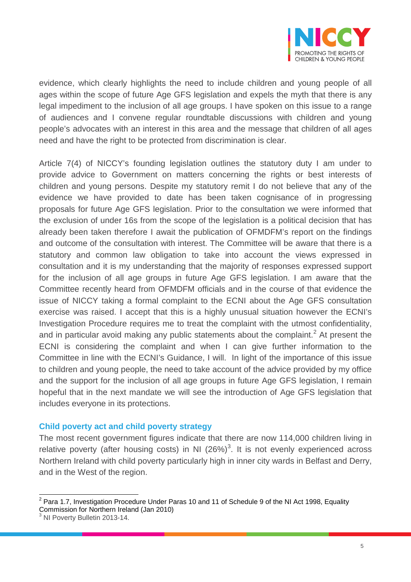

evidence, which clearly highlights the need to include children and young people of all ages within the scope of future Age GFS legislation and expels the myth that there is any legal impediment to the inclusion of all age groups. I have spoken on this issue to a range of audiences and I convene regular roundtable discussions with children and young people's advocates with an interest in this area and the message that children of all ages need and have the right to be protected from discrimination is clear.

Article 7(4) of NICCY's founding legislation outlines the statutory duty I am under to provide advice to Government on matters concerning the rights or best interests of children and young persons. Despite my statutory remit I do not believe that any of the evidence we have provided to date has been taken cognisance of in progressing proposals for future Age GFS legislation. Prior to the consultation we were informed that the exclusion of under 16s from the scope of the legislation is a political decision that has already been taken therefore I await the publication of OFMDFM's report on the findings and outcome of the consultation with interest. The Committee will be aware that there is a statutory and common law obligation to take into account the views expressed in consultation and it is my understanding that the majority of responses expressed support for the inclusion of all age groups in future Age GFS legislation. I am aware that the Committee recently heard from OFMDFM officials and in the course of that evidence the issue of NICCY taking a formal complaint to the ECNI about the Age GFS consultation exercise was raised. I accept that this is a highly unusual situation however the ECNI's Investigation Procedure requires me to treat the complaint with the utmost confidentiality, and in particular avoid making any public statements about the complaint.<sup>[2](#page-4-0)</sup> At present the ECNI is considering the complaint and when I can give further information to the Committee in line with the ECNI's Guidance, I will. In light of the importance of this issue to children and young people, the need to take account of the advice provided by my office and the support for the inclusion of all age groups in future Age GFS legislation, I remain hopeful that in the next mandate we will see the introduction of Age GFS legislation that includes everyone in its protections.

### **Child poverty act and child poverty strategy**

The most recent government figures indicate that there are now 114,000 children living in relative poverty (after housing costs) in NI  $(26\%)^3$  $(26\%)^3$ . It is not evenly experienced across Northern Ireland with child poverty particularly high in inner city wards in Belfast and Derry, and in the West of the region.

<span id="page-4-0"></span> $2$  Para 1.7, Investigation Procedure Under Paras 10 and 11 of Schedule 9 of the NI Act 1998, Equality Commission for Northern Ireland (Jan 2010)

<span id="page-4-1"></span><sup>&</sup>lt;sup>3</sup> NI Poverty Bulletin 2013-14.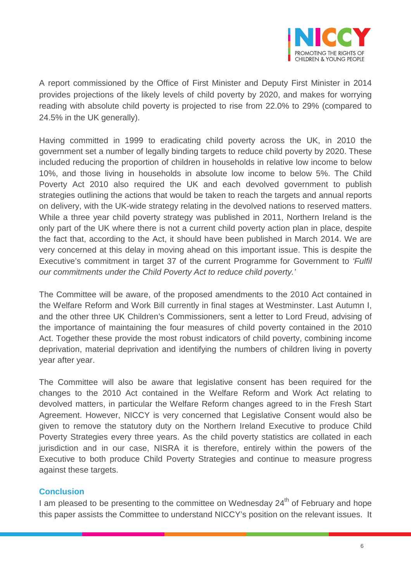

A report commissioned by the Office of First Minister and Deputy First Minister in 2014 provides projections of the likely levels of child poverty by 2020, and makes for worrying reading with absolute child poverty is projected to rise from 22.0% to 29% (compared to 24.5% in the UK generally).

Having committed in 1999 to eradicating child poverty across the UK, in 2010 the government set a number of legally binding targets to reduce child poverty by 2020. These included reducing the proportion of children in households in relative low income to below 10%, and those living in households in absolute low income to below 5%. The Child Poverty Act 2010 also required the UK and each devolved government to publish strategies outlining the actions that would be taken to reach the targets and annual reports on delivery, with the UK-wide strategy relating in the devolved nations to reserved matters. While a three year child poverty strategy was published in 2011, Northern Ireland is the only part of the UK where there is not a current child poverty action plan in place, despite the fact that, according to the Act, it should have been published in March 2014. We are very concerned at this delay in moving ahead on this important issue. This is despite the Executive's commitment in target 37 of the current Programme for Government to *'Fulfil our commitments under the Child Poverty Act to reduce child poverty.'* 

The Committee will be aware, of the proposed amendments to the 2010 Act contained in the Welfare Reform and Work Bill currently in final stages at Westminster. Last Autumn I, and the other three UK Children's Commissioners, sent a letter to Lord Freud, advising of the importance of maintaining the four measures of child poverty contained in the 2010 Act. Together these provide the most robust indicators of child poverty, combining income deprivation, material deprivation and identifying the numbers of children living in poverty year after year.

The Committee will also be aware that legislative consent has been required for the changes to the 2010 Act contained in the Welfare Reform and Work Act relating to devolved matters, in particular the Welfare Reform changes agreed to in the Fresh Start Agreement. However, NICCY is very concerned that Legislative Consent would also be given to remove the statutory duty on the Northern Ireland Executive to produce Child Poverty Strategies every three years. As the child poverty statistics are collated in each jurisdiction and in our case, NISRA it is therefore, entirely within the powers of the Executive to both produce Child Poverty Strategies and continue to measure progress against these targets.

## **Conclusion**

I am pleased to be presenting to the committee on Wednesday  $24<sup>th</sup>$  of February and hope this paper assists the Committee to understand NICCY's position on the relevant issues. It